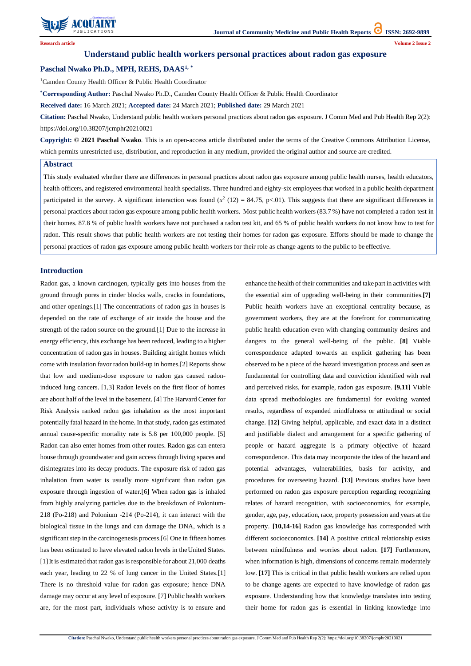

**Research article Volume 2 Issue 2**

# **Understand public health workers personal practices about radon gas exposure**

# **Paschal Nwako Ph.D., MPH, REHS, DAAS1, \***

<sup>1</sup>Camden County Health Officer & Public Health Coordinator

**\*Corresponding Author:** Paschal Nwako Ph.D., Camden County Health Officer & Public Health Coordinator

**Received date:** 16 March 2021; **Accepted date:** 24 March 2021; **Published date:** 29 March 2021

**Citation:** Paschal Nwako, Understand public health workers personal practices about radon gas exposure. J Comm Med and Pub Health Rep 2(2): https://doi.org/10.38207/jcmphr20210021

**Copyright: © 2021 Paschal Nwako**. This is an open-access article distributed under the terms of the Creative Commons Attribution License, which permits unrestricted use, distribution, and reproduction in any medium, provided the original author and source are credited.

#### **Abstract**

This study evaluated whether there are differences in personal practices about radon gas exposure among public health nurses, health educators, health officers, and registered environmental health specialists. Three hundred and eighty-six employees that worked in a public health department participated in the survey. A significant interaction was found  $(x^2 (12) = 84.75, p<0.01)$ . This suggests that there are significant differences in personal practices about radon gas exposure among public health workers. Most public health workers (83.7 %) have not completed a radon test in their homes. 87.8 % of public health workers have not purchased a radon test kit, and 65 % of public health workers do not know how to test for radon. This result shows that public health workers are not testing their homes for radon gas exposure. Efforts should be made to change the personal practices of radon gas exposure among public health workers for their role as change agents to the public to be effective.

# **Introduction**

Radon gas, a known carcinogen, typically gets into houses from the ground through pores in cinder blocks walls, cracks in foundations, and other openings.[1] The concentrations of radon gas in houses is depended on the rate of exchange of air inside the house and the strength of the radon source on the ground.[1] Due to the increase in energy efficiency, this exchange has been reduced, leading to a higher concentration of radon gas in houses. Building airtight homes which come with insulation favor radon build-up in homes.[2] Reports show that low and medium-dose exposure to radon gas caused radoninduced lung cancers. [1,3] Radon levels on the first floor of homes are about half of the level in the basement. [4] The Harvard Center for Risk Analysis ranked radon gas inhalation as the most important potentially fatal hazard in the home. In that study, radon gas estimated annual cause-specific mortality rate is 5.8 per 100,000 people. [5] Radon can also enter homes from other routes. Radon gas can entera house through groundwater and gain access through living spaces and disintegrates into its decay products. The exposure risk of radon gas inhalation from water is usually more significant than radon gas exposure through ingestion of water.[6] When radon gas is inhaled from highly analyzing particles due to the breakdown of Polonium-218 (Po-218) and Polonium -214 (Po-214), it can interact with the biological tissue in the lungs and can damage the DNA, which is a significant step in the carcinogenesis process.[6] One in fifteen homes has been estimated to have elevated radon levels in theUnited States. [1]It is estimated that radon gas is responsible for about 21,000 deaths each year, leading to 22 % of lung cancer in the United States.[1] There is no threshold value for radon gas exposure; hence DNA damage may occur at any level of exposure. [7] Public health workers are, for the most part, individuals whose activity is to ensure and enhance the health of their communities and take part in activities with the essential aim of upgrading well-being in their communities.**[7]**  Public health workers have an exceptional centrality because, as government workers, they are at the forefront for communicating public health education even with changing community desires and dangers to the general well-being of the public. **[8]** Viable correspondence adapted towards an explicit gathering has been observed to be a piece of the hazard investigation process and seen as fundamental for controlling data and conviction identified with real and perceived risks, for example, radon gas exposure. **[9,11]** Viable data spread methodologies are fundamental for evoking wanted results, regardless of expanded mindfulness or attitudinal or social change. **[12]** Giving helpful, applicable, and exact data in a distinct and justifiable dialect and arrangement for a specific gathering of people or hazard aggregate is a primary objective of hazard correspondence. This data may incorporate the idea of the hazard and potential advantages, vulnerabilities, basis for activity, and procedures for overseeing hazard. **[13]** Previous studies have been performed on radon gas exposure perception regarding recognizing relates of hazard recognition, with socioeconomics, for example, gender, age, pay, education, race, property possession and years at the property. **[10,14-16]** Radon gas knowledge has corresponded with different socioeconomics. **[14]** A positive critical relationship exists between mindfulness and worries about radon. **[17]** Furthermore, when information is high, dimensions of concerns remain moderately low. **[17]** This is critical in that public health workers are relied upon to be change agents are expected to have knowledge of radon gas exposure. Understanding how that knowledge translates into testing their home for radon gas is essential in linking knowledge into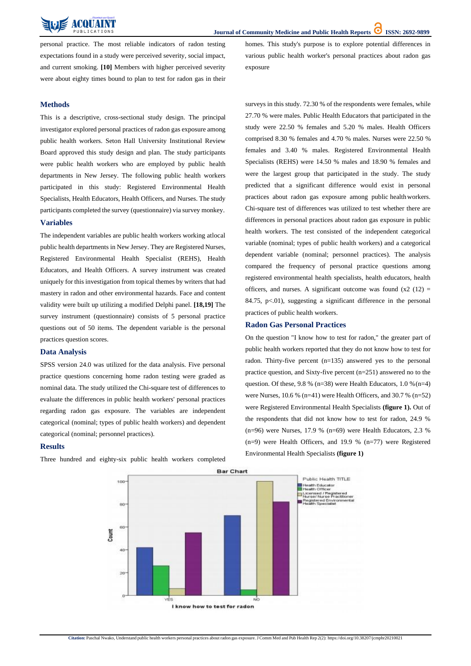

personal practice. The most reliable indicators of radon testing expectations found in a study were perceived severity, social impact, and current smoking. **[10]** Members with higher perceived severity were about eighty times bound to plan to test for radon gas in their homes. This study's purpose is to explore potential differences in various public health worker's personal practices about radon gas exposure

# **Methods**

This is a descriptive, cross-sectional study design. The principal investigator explored personal practices of radon gas exposure among public health workers. Seton Hall University Institutional Review Board approved this study design and plan. The study participants were public health workers who are employed by public health departments in New Jersey. The following public health workers participated in this study: Registered Environmental Health Specialists, Health Educators, Health Officers, and Nurses. The study participants completed the survey (questionnaire) via survey monkey.

#### **Variables**

The independent variables are public health workers working atlocal public health departments in New Jersey. They are Registered Nurses, Registered Environmental Health Specialist (REHS), Health Educators, and Health Officers. A survey instrument was created uniquely for this investigation from topical themes by writers that had mastery in radon and other environmental hazards. Face and content validity were built up utilizing a modified Delphi panel. **[18,19]** The survey instrument (questionnaire) consists of 5 personal practice questions out of 50 items. The dependent variable is the personal practices question scores.

# **Data Analysis**

SPSS version 24.0 was utilized for the data analysis. Five personal practice questions concerning home radon testing were graded as nominal data. The study utilized the Chi-square test of differences to evaluate the differences in public health workers' personal practices regarding radon gas exposure. The variables are independent categorical (nominal; types of public health workers) and dependent categorical (nominal; personnel practices).

# **Results**

Three hundred and eighty-six public health workers completed

surveys in this study. 72.30 % of the respondents were females, while 27.70 % were males. Public Health Educators that participated in the study were 22.50 % females and 5.20 % males. Health Officers comprised 8.30 % females and 4.70 % males. Nurses were 22.50 % females and 3.40 % males. Registered Environmental Health Specialists (REHS) were 14.50 % males and 18.90 % females and were the largest group that participated in the study. The study predicted that a significant difference would exist in personal practices about radon gas exposure among public healthworkers. Chi-square test of differences was utilized to test whether there are differences in personal practices about radon gas exposure in public health workers. The test consisted of the independent categorical variable (nominal; types of public health workers) and a categorical dependent variable (nominal; personnel practices). The analysis compared the frequency of personal practice questions among registered environmental health specialists, health educators, health officers, and nurses. A significant outcome was found  $(x2)(12) =$ 84.75,  $p<.01$ ), suggesting a significant difference in the personal practices of public health workers.

# **Radon Gas Personal Practices**

On the question "I know how to test for radon," the greater part of public health workers reported that they do not know how to test for radon. Thirty-five percent (n=135) answered yes to the personal practice question, and Sixty-five percent (n=251) answered no to the question. Of these, 9.8 % (n=38) were Health Educators, 1.0 % (n=4) were Nurses, 10.6 % (n=41) were Health Officers, and 30.7 % (n=52) were Registered Environmental Health Specialists **(figure 1).** Out of the respondents that did not know how to test for radon, 24.9 % (n=96) were Nurses, 17.9 % (n=69) were Health Educators, 2.3 % (n=9) were Health Officers, and 19.9 % (n=77) were Registered Environmental Health Specialists **(figure 1)**



**Bar Chart** 

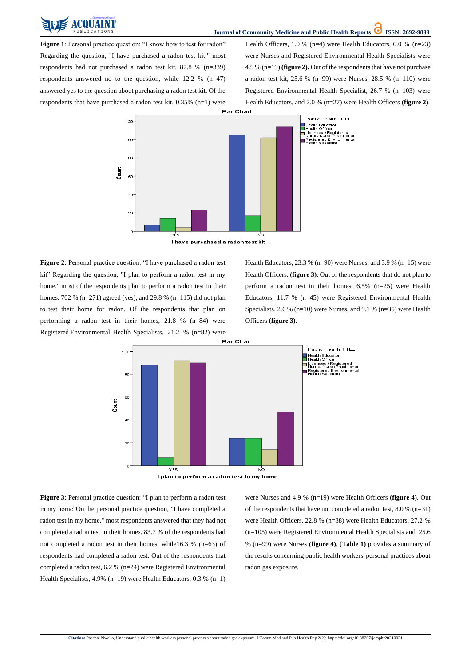

**Figure 1**: Personal practice question: "I know how to test for radon" Regarding the question, "I have purchased a radon test kit," most respondents had not purchased a radon test kit. 87.8 % (n=339) respondents answered no to the question, while 12.2 % (n=47) answered yes to the question about purchasing a radon test kit. Of the respondents that have purchased a radon test kit, 0.35% (n=1) were Health Officers, 1.0 % (n=4) were Health Educators, 6.0 % (n=23) were Nurses and Registered Environmental Health Specialists were 4.9 % (n=19) **(figure 2).** Out of the respondents that have not purchase a radon test kit, 25.6 % (n=99) were Nurses, 28.5 % (n=110) were Registered Environmental Health Specialist, 26.7 % (n=103) were Health Educators, and 7.0 % (n=27) were Health Officers **(figure 2)**.



Health Educators, 23.3 % (n=90) were Nurses, and 3.9 % (n=15) were Health Officers, **(figure 3)**. Out of the respondents that do not plan to perform a radon test in their homes, 6.5% (n=25) were Health Educators, 11.7 % (n=45) were Registered Environmental Health Specialists, 2.6 % (n=10) were Nurses, and 9.1 % (n=35) were Health Officers **(figure 3)**.



**Figure 2**: Personal practice question: "I have purchased a radon test kit" Regarding the question, "I plan to perform a radon test in my home," most of the respondents plan to perform a radon test in their homes. 702 % (n=271) agreed (yes), and 29.8 % (n=115) did not plan to test their home for radon. Of the respondents that plan on performing a radon test in their homes, 21.8 % (n=84) were Registered Environmental Health Specialists, 21.2 % (n=82) were

**Figure 3**: Personal practice question: "I plan to perform a radon test

in my home"On the personal practice question, "I have completed a radon test in my home," most respondents answered that they had not completed a radon test in their homes. 83.7 % of the respondents had not completed a radon test in their homes, while16.3 % (n=63) of respondents had completed a radon test. Out of the respondents that completed a radon test, 6.2 % (n=24) were Registered Environmental Health Specialists, 4.9% (n=19) were Health Educators, 0.3 % (n=1)

of the respondents that have not completed a radon test, 8.0 % (n=31) were Health Officers, 22.8 % (n=88) were Health Educators, 27.2 % (n=105) were Registered Environmental Health Specialists and 25.6 % (n=99) were Nurses **(figure 4)**. (**Table 1)** provides a summary of the results concerning public health workers' personal practices about radon gas exposure.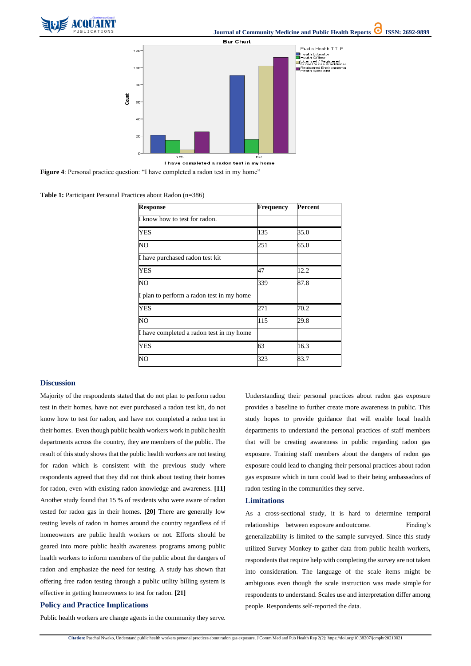





**Figure 4**: Personal practice question: "I have completed a radon test in my home"

**Citation:** Paschal Nwako, Understand public health workers personal practices about radon gas exposure. J Comm Med and Pub Health Rep 2(2): https://doi.org/10.38207/jcmphr20210021

**Table 1:** Participant Personal Practices about Radon (n=386)

| <b>Response</b>                           | Frequency | <b>Percent</b> |
|-------------------------------------------|-----------|----------------|
| I know how to test for radon.             |           |                |
| <b>YES</b>                                | 135       | 35.0           |
| NO <sub>1</sub>                           | 251       | 65.0           |
| I have purchased radon test kit           |           |                |
| <b>YES</b>                                | 47        | 12.2           |
| NO <sub></sub>                            | 339       | 87.8           |
| I plan to perform a radon test in my home |           |                |
| <b>YES</b>                                | 271       | 70.2           |
| N <sub>O</sub>                            | 115       | 29.8           |
| I have completed a radon test in my home  |           |                |
| <b>YES</b>                                | 63        | 16.3           |
| NO                                        | 323       | 83.7           |

#### **Discussion**

Majority of the respondents stated that do not plan to perform radon test in their homes, have not ever purchased a radon test kit, do not know how to test for radon, and have not completed a radon test in their homes. Even though public health workers work in public health departments across the country, they are members of the public. The result of this study shows that the public health workers are not testing for radon which is consistent with the previous study where respondents agreed that they did not think about testing their homes for radon, even with existing radon knowledge and awareness. **[11]** Another study found that 15 % of residents who were aware ofradon tested for radon gas in their homes. **[20]** There are generally low testing levels of radon in homes around the country regardless of if homeowners are public health workers or not. Efforts should be geared into more public health awareness programs among public health workers to inform members of the public about the dangers of radon and emphasize the need for testing. A study has shown that offering free radon testing through a public utility billing system is effective in getting homeowners to test for radon. **[21] Policy and Practice Implications**

Public health workers are change agents in the community they serve.

Understanding their personal practices about radon gas exposure provides a baseline to further create more awareness in public. This study hopes to provide guidance that will enable local health departments to understand the personal practices of staff members that will be creating awareness in public regarding radon gas exposure. Training staff members about the dangers of radon gas exposure could lead to changing their personal practices about radon gas exposure which in turn could lead to their being ambassadors of radon testing in the communities they serve.

#### **Limitations**

As a cross-sectional study, it is hard to determine temporal relationships between exposure andoutcome. Finding's generalizability is limited to the sample surveyed. Since this study utilized Survey Monkey to gather data from public health workers, respondents that require help with completing the survey are not taken into consideration. The language of the scale items might be ambiguous even though the scale instruction was made simple for respondents to understand. Scales use and interpretation differ among people. Respondents self-reported the data.